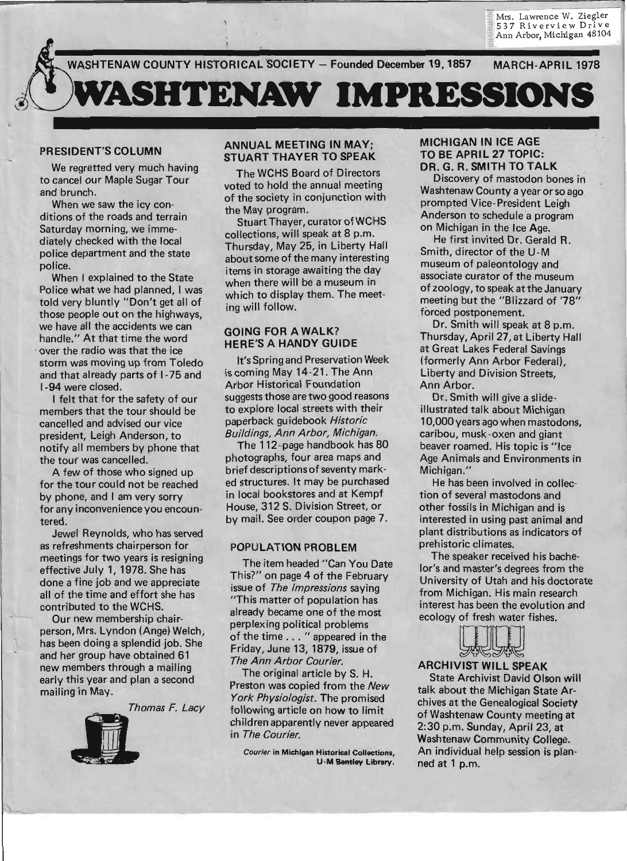Mrs. Lawrence W. Ziegler<br>537 Riverview Drive Ann Arbor, Michigan 48104

WASHTENAW COUNTY HISTORICAL SOCIETY - Founded December 19, 1857 MARCH-APRIL 1978



### PRESIDENT'S COLUMN

We regretted very much having to cancel our Maple Sugar Tour and brunch.

When we saw the icy conditions of the roads and terrain Saturday morning, we immediately checked with the local police department and the state police.

When I explained to the State Police what we had planned, I was told very bluntly "Don't get all of those people out on the highways, we have all the accidents we can handle." At that time the word . over the radio was that the ice storm was moving up from Toledo and that already parts of 1-75 and 1-94 were closed.

I felt that for the safety of our members that the tour should be cancelled and advised our vice president, Leigh Anderson, to notify all members by phone that the tour was cancelled.

A few of those who signed up for the tour could not be reached by phone, and I am very sorry for any inconvenience you encountered.

Jewel Reynolds, who has served as refreshments chairperson for meetings for two years is resigning effective July 1, 1978. She has done a fine job and we appreciate all of the time and effort she has contributed to the WCHS.

Our new membership chairperson, Mrs. Lyndon (Ange) Welch, has been doing a splendid job. She and her group have obtained 61 new members through a mailing early this year and plan a second mailing in May.<br>*Thomas F. Lacy* 

### ANNUAL MEETING IN MAY; STUART THAYER TO SPEAK

The WCHS Board of Directors voted to hold the annual meeting of the society in conjunction with the May program.

Stuart Thayer, curator ofWCHS collections, will speak at 8 p.m. Thursday, May 25, in Liberty Hall about some of the many interesting items in storage awaiting the day when there will be a museum in which to display them. The meeting will follow.

### GOING FOR A WALK? HERE'S A HANDY GUIDE

It's Spring and Preservation Week is coming May 14-21. The Ann Arbor Historical Foundation suggests those are two good reasons to explore local streets with their paperback guidebook Historic Bui/dings, Ann Arbor, Michigan.

The 112 -page handbook has 80 photographs, four area maps and brief descriptions of seventy marked structures. It may be purchased in local bookstores and at Kempf House, 312 S. Division Street, or by mail. See order coupon page 7.

### POPULATION PROBLEM

The item headed "Can You Date This?" on page 4 of the February issue of The Impressions saying "This matter of population has already became one of the most perplexing political problems of the time ... " appeared in the Friday, June 13, 1879, issue of The Ann Arbor Courier.

The original article by S. H. Preston was copied from the New York Physiologist. The promised following article on how to limit children apparently never appeared in The Courier.

Courier in Michigan Historical Collections, U -M Bentley l;ibrary.

### MICHIGAN IN ICE AGE TO BE APRIL 27 TOPIC: DR. G. R. SMITH TO TALK

Discovery of mastodon bones in Washtenaw County a year or so ago prompted Vice-President Leigh . Anderson to schedule a program on Michigan in the Ice Age.

He first invited Dr. Gerald R. Smith, director of the U-M museum of paleontology and associate curator of the museum of zoology, to speak at the January meeting but the "Blizzard of '78" forced postponement.

Dr. Smith will speak at 8 p.m. Thursday, April 27 , at Liberty Hall at Great Lakes Federal Savings (formerly Ann Arbor Federal), Liberty and Division Streets, Ann Arbor.

Dr. Smith will give a slideillustrated talk about Michigan 10,000 years ago when mastodons, caribou, musk-oxen and giant beaver roamed. His topic is "Ice Age Animals and Environments in Michigan."

He has been involved in collection of several mastodons and other fossils in Michigan and is interested in using past animal and plant distributions as indicators of prehistoric climates.

The speaker received his bachelor's and master's degrees from the University of Utah and his doctorate from Michigan. His main research interest has been the evolution and ecology of fresh water fishes.



State Archivist David Olson will talk about the Michigan State Arch ives at the Genealogical Society of Washtenaw County meeting at 2:30 p.m. Sunday, April 23, at Washtenaw Community College. An individual help session is planned at 1 p.m.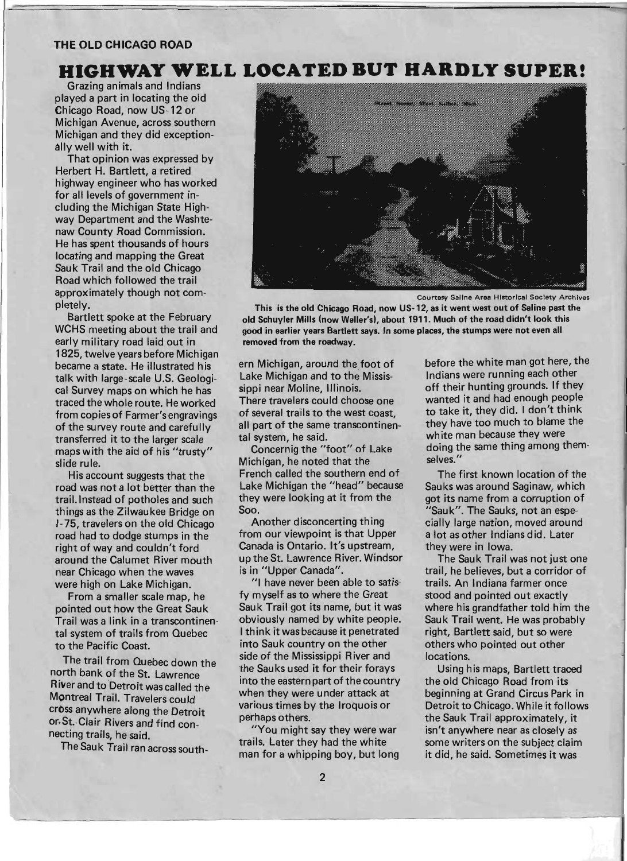### **THE OLD CHICAGO ROAD**

## **HIGHWAY WELL LOCATED BUT HARDLY SUPER!**

Grazing animals and Indians played a part in locating the old Chicago Road, now US-12 or Michigan Avenue, across southern Michigan and they did exceptionally well with it.

That opinion was expressed by Herbert H. Bartlett, a retired highway engineer who has worked for all levels of government including the Michigan State Highway Department and the Washtenaw County Road Commission. He has spent thousands of hours locating and mapping the Great Sauk Trail and the old Chicago Road which followed the trail approximately though not completely.

Bartlett spoke at the February WCHS meeting about the trail and early military road laid out in 1825, twelve years before Mich igan became a state. He illustrated his talk with large-scale U.S. Geological Survey maps on which he has traced the whole route. He worked from copies of Farmer's engravings of the survey route and carefully transferred it to the larger scale maps with the aid of his "trusty" slide rule.

His account suggests that the road was not a lot better than the trail. Instead of potholes and such things as the Zilwaukee Bridge on 1- 75, travelers on the old Chicago road had to dodge stumps in the right of way and couldn't ford around the Calumet River mouth near Chicago when the waves were high on Lake Michigan.

From a smaller scale map, he pointed out how the Great Sauk Trail was a link in a transcontinental system of trails from Quebec to the Pacific Coast.

The trail from Quebec down the north bank of the St. Lawrence River and to Detroit was called the Montreal Trail. Travelers could cross anywhere along the Detroit or. St. Clair Rivers and find connecting trails, he said.

The Sauk Trail ran across south-



Courtesy Saline Area Historical Society Archives

This is the old Chicago Road, now US-12, as it went west out of Saline past the old Schuyler Mills (now Weller's), about 1911. Much of the road didn't look this good in earlier years Bartlett says. In some places, the stumps were not even all removed from the roadway.

ern Michigan, around the foot of Lake Michigan and to the Mississippi near Moline, Illinois. There travelers could choose one of several trails to the west coast, all part of the same transcontinental system, he said.

Concernig the "foot" of Lake Michigan, he noted that the French called the southern end of Lake Michigan the "head" because they were looking at it from the 500.

Another disconcerting thing from our viewpoint is that Upper Canada is Ontario. It's upstream, up the St. Lawrence River. Windsor is in "Upper Canada".

"I have never been able to satisfy myself as to where the Great Sauk Trail got its name, but it was obviously named by white people. I think it was because it penetrated into Sauk country on the other side of the Mississippi River and the Sauks used it for their forays into the eastern part of the country when they were under attack at various times by the Iroquois or perhaps others.

"You might say they were war trails. Later they had the white man for a whipping boy, but long before the white man got here, the Indians were running each other , off their hunting grounds. If they wanted it and had enough people to take it, they did. I don't think they have too much to blame the white man because they were doing the same thing among themselves.'

The first known location of the Sauks was around Saginaw, which got its name from a corruption of "Sauk". The Sauks, not an especially large nation, moved around a lot as other Indians did. Later they were in Iowa.

The Sauk Trail was not just one trail, he believes, but a corridor of trails. An Indiana farmer once stood and pointed out exactly where his grandfather told him the Sauk Trail went. He was probably right, Bartlett said, but so were others who pointed out other locations.

Using his maps, Bartlett traced the old Chicago Road from its beginning at Grand Circus Park in Detroit to Chicago. While it follows the Sauk Trail approximately, it isn't anywhere near as closely as some writers on the subject claim it did, he said. Sometimes it was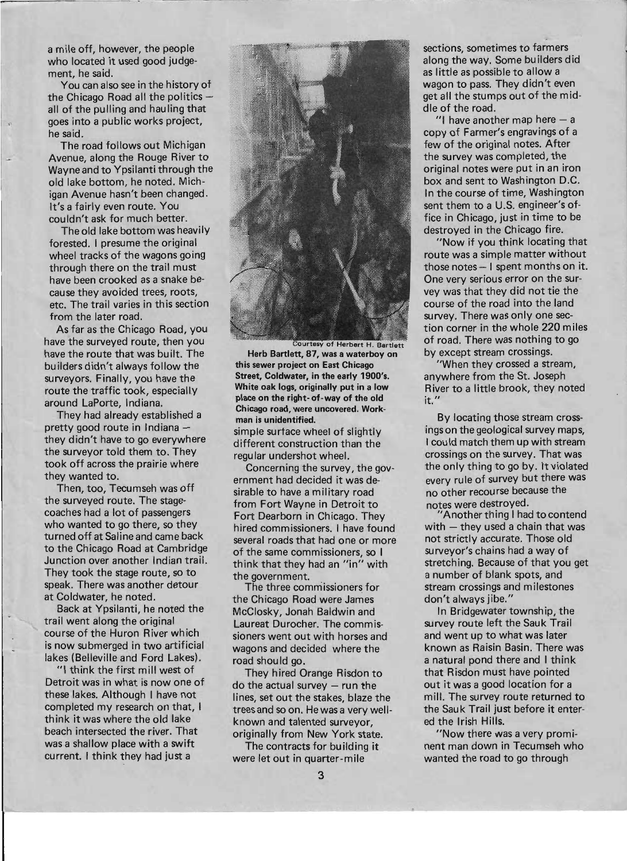a mile off, however, the people who located it used good judgement, he said.

You can also see in the history of the Chicago Road all the politics all of the pulling and hauling that goes into a public works project, he said.

I ,

1-

The road follows out Michigan Avenue, along the Rouge River to Wayne and to Ypsilanti through the old lake bottom, he noted. Michigan Avenue hasn't been changed. It's a fairly even route. You couldn't ask for much better.

The old lake bottom was heavily forested. I presume the original wheel tracks of the wagons going through there on the trail must have been crooked as a snake because they avoided trees, roots, etc. The trail varies in this section from the later road.

As far as the Chicago Road, you have the surveyed route, then you have the route that was built. The builders didn't always follow the surveyors. Finally, you have the route the traffic took, especially around LaPorte, Indiana.

They had already established a pretty good route in Indiana they didn't have to go everywhere the surveyor told them to. They took off across the prairie where they wanted to.

Then, too, Tecumseh was off the surveyed route. The stage- . coaches had a lot of passengers who wanted to go there, so they turned off at Saline and came back to the Chicago Road at Cambridge Junction over another Indian trail. They took the stage route, so to speak. There was another detour at Coldwater, he noted.

Back at Ypsilanti, he noted the trail went along the original course of the Huron River which is now submerged in two artificial lakes {Belleville and Ford Lakes}.

"I think the first mill west of Detroit was in what is now one of these lakes. Although I have not completed my research on that, I think it was where the old lake beach intersected the river. That was a shallow place with a swift current. I think they had just a



Courtesy of Herbert H. Bartlett Herb Bartlett, 87, was a waterboy on this sewer project on East Chicago Street, Coldwater, in the early 1900's. White oak logs, originally put in a low place on the right- of-way of the old Chicago road, were uncovered. Workman is unidentified.

simple surface wheel of slightly different construction than the regular undershot wheel.

Concerning the survey, the government had decided it was desirable to have a military road from Fort Wayne in Detroit to Fort Dearborn in Chicago. They hired commissioners. I have found several roads that had one or more of the same commissioners, so I think that they had an "in" with the government.

The three commissioners for the Chicago Road were James McClosky, Jonah Baldwin and Laureat Durocher. The commissioners went out with horses and wagons and decided where the road should go.

They hired Orange Risdon to  $d$ o the actual survey  $-$  run the lines, set out the stakes, blaze the trees and so on. He was a very wellknown and talented surveyor, originally from New York state.

The contracts for building it were let out in quarter-mile

sections, sometimes to farmers along the way. Some builders did as little as possible to allow a wagon to pass. They didn't even get all the stumps out of the middle of the road.

"I have another map here  $-$  a copy of Farmer's engravings of a few of the original notes. After the survey was completed, the original notes were put in an iron box and sent to Washington D.C. In the course of time, Washington sent them to a U.S. engineer's office in Chicago, just in time to be destroyed in the Chicago fire.

"Now if you think locating that route was a simple matter without those notes  $-1$  spent months on it. One very serious error on the survey was that they did not tie the course of the road into the land survey. There was only one section corner in the whole 220 miles of road. There was nothing to go by except stream crossings.

"When they crossed a stream, anywhere from the St. Joseph River to a little brook, they noted it. "

By locating those stream crossings on the geological survey maps, I could match them up with stream crossings on the survey. That was the only thing to go by. It violated every rule of survey but there was no other recourse because the notes were destroyed.

Another thing I had to contend  $with - they used a chain that was$ not strictly accurate. Those old surveyor's chains had a way of stretching. Because of that you get a number of blank spots, and stream crossings and milestones don't always jibe."

In Bridgewater township, the survey route left the Sauk Trail and went up to what was later known as Raisin Basin. There was a natural pond there and I think that Risdon must have pointed out it was a good location for a mill. The survey route returned to the Sauk Trail just before it entered the Irish Hills.

"Now there was a very prominent man down in Tecumseh who wanted the road to go through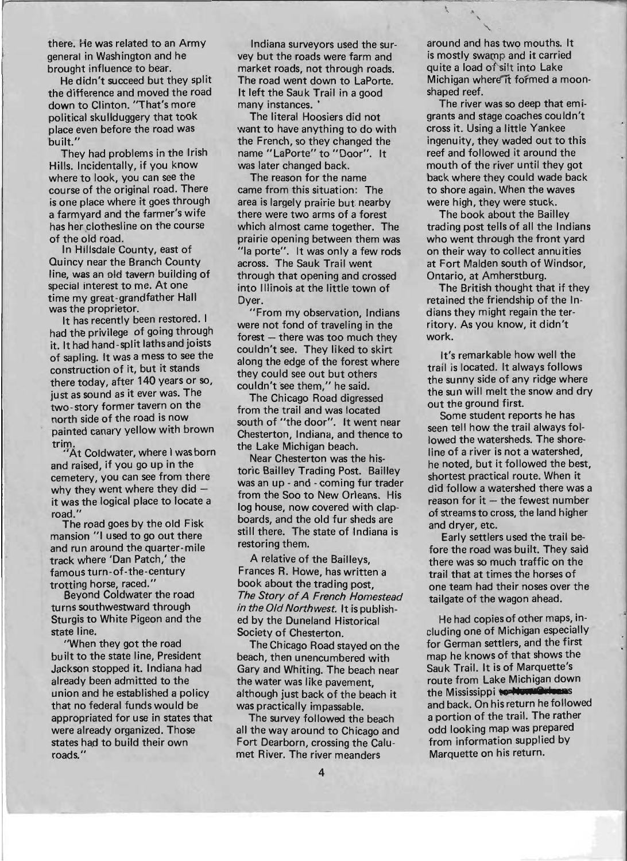there. He was related to an Army general in Washington and he brought influence to bear.

He didn't succeed but they split the difference and moved the road down to Clinton. "That's more political skullduggery that took place even before the road was built."

They had problems in the Irish Hills. Incidentally, if you know where to look, you can see the course of the original road. There is one place where it goes through a farmyard and the farmer's wife has her clothesline on the course of the old road.

In Hillsdale County, east of Quincy near the Branch County line, was em old tavern building of special interest to me. At one time my great-grandfather Hall was the proprietor.

It has recently been restored. I had the privilege of going through it. It had hand -split laths and joists of sapling. It was a mess to see the construction of it, but it stands there today, after 140 years or so, just as sound as it ever was. The two-story former tavern on the north side of the road is now painted canary yellow with brown trim.

At Coldwater, where I was born and raised, if you go up in the cemetery, you can see from there why they went where they  $did$ it was the logical place to locate a road."

The road goes by the old Fisk mansion "1 used to go out there and run around the quarter-mile track where 'Dan Patch,' the famous turn-of-the-century trotting horse, raced."

Beyond Coldwater the road turns southwestward through Sturgis to White Pigeon and the state line.

"When they got the road built to the state line, President Jackson stopped it. Indiana had already been admitted to the union and he established a policy that no federal funds would be appropriated for use in states that were already organized. Those states had to build their own roads."

Indiana surveyors used the survey but the roads were farm and market roads, not through roads. The road went down to LaPorte. It left the Sauk Trail in a good many instances.

The literal Hoosiers did not want to have anything to do with the French, so they changed the name "LaPorte" to "Door". It was later changed back.

The reason for the name came from this situation: The area is largely prairie but: nearby there were two arms of a forest which almost came together. The prairie opening between them was "Ia porte". It was only a few rods across. The Sauk Trail went through that opening and crossed into Illinois at the little town of Dyer.

"From my observation, Indians were not fond of traveling in the  $forest$  - there was too much they couldn't see. They liked to skirt along the edge of the forest where they could see out but others couldn't see them," he said.

The Chicago Road digressed from the trail and was located south of "the door". It went near Chesterton, Indiana, and thence to the Lake Michigan beach.

Near Chesterton was the historic Bailley Trading Post. Bailley was an up - and - coming fur trader from the Soo to New Orleans. His log house, now covered with clapboards, and the old fur sheds are still there. The state of Indiana is restoring them.

A relative of the Bailleys, Frances R. Howe, has written a book about the trading post, The Story of A French Homestead in the Old Northwest. It is published by the Duneland Historical Society of Chesterton.

The Ch icago Road stayed on the beach, then unencumbered with Gary and Whiting. The beach near the water was like pavement. although just back of the beach it was practically impassable.

The survey followed the beach all the way around to Chicago and Fort Dearborn, crossing the Calumet River. The river meanders

around and has two mouths. It is mostly swamp and it carried quite a load of'silt into Lake Michigan where it formed a moonshaped reef.

 $\lambda$  $\overline{a}$ "-

The river was so deep that emigrants and stage coaches couldn't cross it. Using a little Yankee ingenuity, they waded out to this reef and followed it around the mouth of the river until they got back where they could wade back to shore again. When the waves were high, they were stuck.

The book about the Bailley trading post tells of all the Indians who went through the front yard on their way to collect annuities at Fort Malden south of Windsor, Ontario, at Amherstburg.

The British thought that if they retained the friendship of the Indians they might regain the territory. As you know, it didn't work.

It's remarkable how well the trail is located. It always follows the sunny side of any ridge where the sun will melt the snow and dry out the ground first.

Some student reports he has seen tell how the trail always followed the watersheds. The shoreline of a river is not a watershed, he noted, but it followed the best, shortest practical route. When it did follow a watershed there was a  $reason for it - the fewest number$ of streams to cross, the land higher and dryer, etc.

Early settlers used the trail before the road was built. They said there was so much traffic on the trail that at times the horses of one team had their noses over the tailgate of the wagon ahead.

He had copies of other maps, including one of Michigan especially for German settlers, and the first map he knows of that shows the Sauk Trail. It is of Marquette's route from Lake Michigan down the Mississippi **to. Novement** and back. On his return he followed a portion of the trail. The rather odd looking map was prepared from information supplied by Marquette on his return.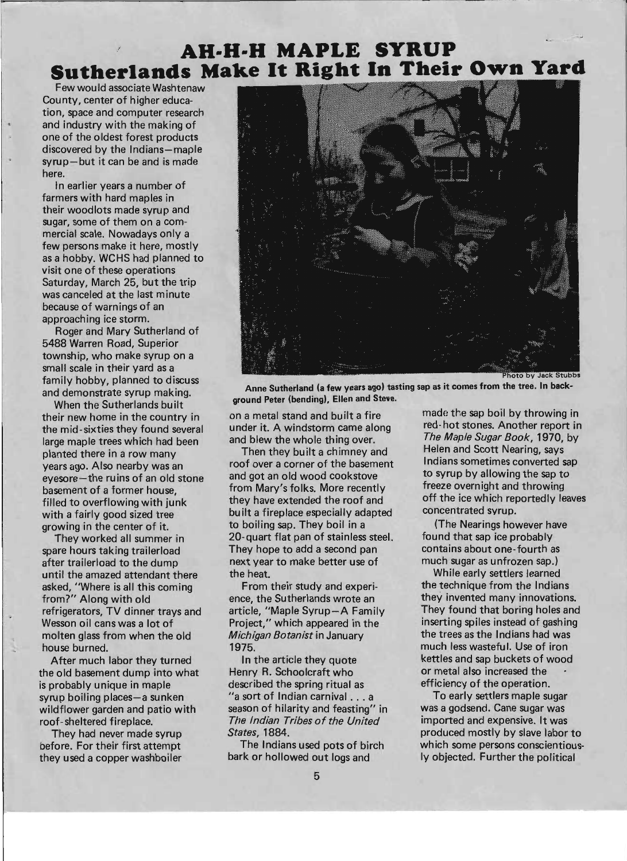# **AH-H-H MAPLE SYRUP Sutherlands Make It Right In Their Own Yard**

Few wou Id associate Washtenaw County, center of higher education, space and computer research and industry with the making of one of the oldest forest products discovered by the Indians-maple syrup-but it can be and is made here.

In earlier years a number of farmers with hard maples in their woodlots made syrup and sugar, some of them on a commercial scale. Nowadays only a few persons make it here, mostly as a hobby. WCHS had planned to visit one of these operations Saturday, March 25, but the trip was canceled at the last minute because of warnings of an approaching ice storm.

Roger and Mary Sutherland of 5488 Warren Road, Superior township, who make syrup on a small scale in their yard as a family hobby, planned to discuss and demonstrate syrup making.

When the Sutherlands built their new home in the country in the mid-sixties they found several large maple trees which had been planted there in a row many years ago. Also nearby was an eyesore-the ruins of an old stone basement of a former house, filled to overflowing with junk with a fairly good sized tree growing in the center of it.

They worked all summer in spare hours taking trailerload after trailerload to the dump until the amazed attendant there asked, "Where is all this coming from?" Along with old refrigerators, TV dinner trays and Wesson oil cans was a lot of molten glass from when the old house burned.

After much labor they turned the old basement dump into what is probably unique in maple syrup boiling places-a sunken wildflower garden and patio with roof- sheltered fireplace.

They had never made syrup before. For their first attempt they used a copper washboiler



Anne Sutherland (a few years ago) tasting sap as it comes from the tree. In background Peter (bending), Ellen and Steve.

on a metal stand and built a fire under it. A windstorm came along and blew the whole thing over.

Then they built a chimney and roof over a corner of the basement and got an old wood cookstove from Mary's folks. More recently they have extended the roof and bu ilt a fireplace especially adapted to boiling sap. They boil in a 20-quart flat pan of stainless steel. They hope to add a second pan next year to make better use of the heat.

From their study and experience, the Sutherlands wrote an article, "Maple Syrup-A Family Project," which appeared in the Michigan Botanist in January 1975.

In the article they quote Henry R. Schoolcraft who described the spring ritual as "a sort of Indian carnival ... a season of hilarity and feasting" in The Indian Tribes of the United States, 1884.

The Indians used pots of birch bark or hollowed out logs and

made the sap boil by throwing in red- hot stones. Another report in The Maple Sugar Book, 1970, by Helen and Scott Nearing, says Indians sometimes converted sap to syrup by allowing the sap to freeze overnight and throwing off the ice which reportedly leaves concentrated syrup.

(The Nearings however have found that sap ice probably contains about one-fourth as much sugar as unfrozen sap.)

While early settlers learned the technique from the Indians they invented many innovations. They found that boring holes and inserting spiles instead of gashing the trees as the Indians had was much less wasteful. Use of iron kettles and sap buckets of wood or metal also increased the efficiency of the operation.

To early settlers maple sugar was a godsend. Cane sugar was imported and expensive. It was produced mostly by slave labor to which some persons conscientiously objected. Further the political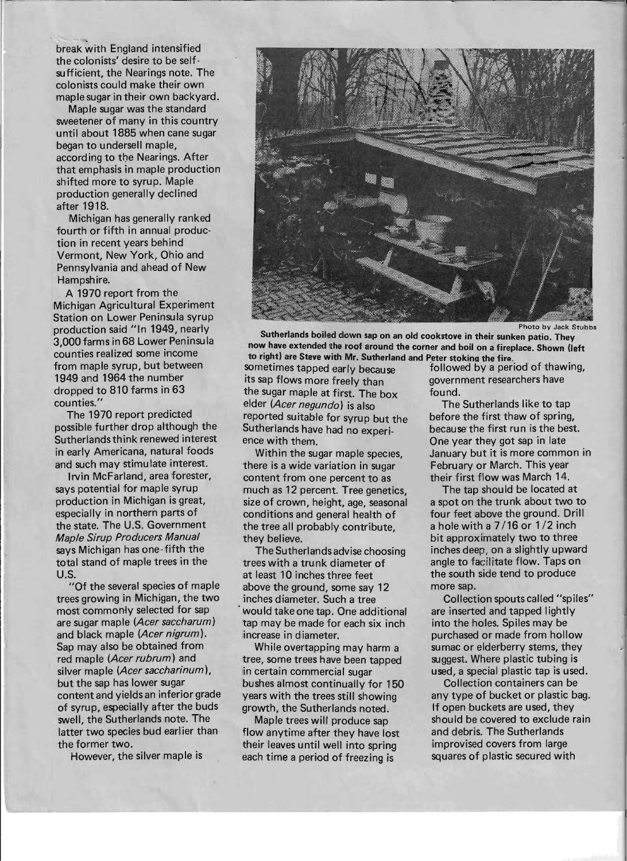break with England intensified the colonists' desire to be selfsufficient, the Nearings note. The colonists could make their own maple sugar in their own backyard.

Maple sugar was the standard sweetener of many in this country until about 1885 when cane sugar began to undersell maple, according to the Nearings. After that emphasis in maple production shifted more to syrup. Maple production generally qeclined after 1918.

Michigan has generally ranked fourth or fifth in annual production in recent years behind Vermont, New York, Ohio and Pennsylvania and ahead of New Hampshire.

A 1970 report from the Michigan Agricultural Experiment Station on Lower Peninsula syrup production said "In 1949, nearly 3,000 farms in 68 Lower Peninsula counties realized some income from maple syrup, but between 1949 and 1964 the number dropped to 810 farms in 63 counties.'

The 1970 report predicted possible further drop although the Sutherlandsthink renewed interest in early Americana, natural foods and such may stimu late interest.

Irvin McFarland, area forester, says potential for maple syrup production in Michigan is great, especially in northern parts of the state. The U.S. Government Maple Sirup Producers Manual says Michigan has one-fifth the total stand of maple trees in the U.S.

"Of the several species of maple trees growing in Michigan, the two most commonly selected for sap are sugar maple (Acer saccharum) and black maple (Acer nigrum). Sap may also be obtained from red maple (Acer rubrum) and silver maple (Acer saccharinum), but the sap has lower sugar content and yields an inferior grade of syrup, especially after the buds swell, the Sutherlands note. The latter two species bud earlier than the former two.

However, the silver maple is



Photo by Jack Stubbs

Sutherlands boiled down sap on an old cookstove in their sunken patio. They now have extended the roof around the corner and boil on a fireplace. Shown (left

to right) are Steve with Mr. Sutherland and Peter stoking the fire.<br>sometimes tapped early because followed by a per its sap flows more freely than the sugar maple at first. The box found. elder (Acer negundo) is also The Sutherlands like to tap reported suitable for syrup but the before the first thaw of spring, Sutherlands have had no experi-<br>because the first run is the best. ence with them. One year they got sap in late

there is a wide variation in sugar February or March. This year content from one percent to as their first flow was March 14.<br>much as 12 percent. Tree genetics. The tap should be located at much as 12 percent. Tree genetics, size of crown, height, age, seasonal a spot on the trunk about two to conditions and general health of four feet above the ground. Drill<br>the tree all probably contribute. a hole with a 7/16 or 1/2 inch the tree all probably contribute. they believe. bit approximately two to three

trees with a trunk diameter of angle to facilitate flow. Taps on at least 10 inches three feet the south side tend to produce above the ground, some say 12 more sap. inches diameter. Such a tree Collection spouts called "spiles" would take one tap. One additional are inserted and tapped lightly tap may be made for each six inch into the holes. Spiles may be increase in diameter. **purchased or made from hollow** 

tree, some trees have been tapped suggest. Where plastic tubing is in certain commercial sugar used, a special plastic tap is used. bushes almost continually for 150 Collection containers can be years with the trees still showing any type of bucket or plastic bag. growth, the Sutherlands noted. If open buckets are used, they

flow anytime after they have lost and debris. The Sutherlands their leaves until well into spring improvised covers from large each time a period of freezing is squares of plastic secured with

followed by a period of thawing,<br>government researchers have

Within the sugar maple species. January but it is more common in

The Sutherlands advise choosing inches deep, on a slightly upward

While overtapping may harm a sumac or elderberry stems, they

Maple trees will produce sap should be covered to exclude rain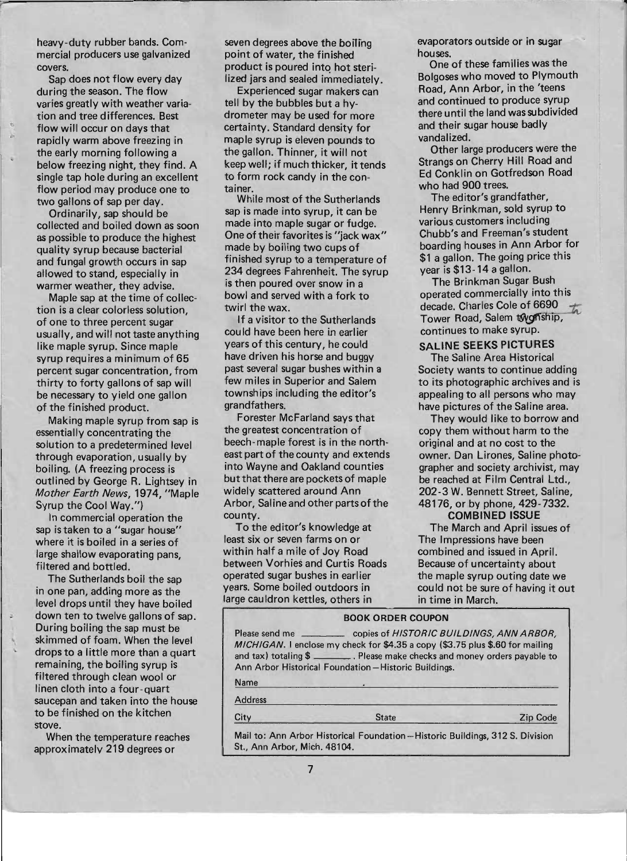heavy-duty rubber bands. Commercial producers use galvanized covers.

Sap does not flow every day during the season. The flow varies greatly with weather variation and tree differences. Best flow will occur on days that rapidly warm above freezing in the early morning following a below freezing night, they find. A single tap hole during an excellent flow period may produce one to two gallons of sap per day.

., I •.

Ordinarily, sap should be collected and boiled down as soon as possible to produce the highest quality syrup because bacterial and fungal growth occurs in sap allowed to stand, especially in warmer weather, they advise.

Maple sap at the time of collection is a clear colorless solution, of one to three percent sugar usually, and will not taste anything like maple syrup. Since maple syrup requires a minimum of 65 percent sugar concentration, from thirty to forty gallons of sap will be necessary to yield one gallon of the finished product.

Making maple syrup from sap is essentially concentrating the solution to a predetermined level through evaporation, usually by boiling. (A freezing process is outlined by George R. Lightsey in Mother Earth News, 1974, "Maple Syrup the Cool Way.")

In commercial operation the sap is taken to a "sugar house" where it is boiled in a series of large shallow evaporating pans, filtered and bottled.

The Sutherlands boil the sap in one pan, adding more as the level drops until they have boiled down ten to twelve gallons of sap. During boiling the sap must be skimmed of foam. When the level drops to a little more than a quart remaining, the boiling syrup is filtered through clean wool or linen cloth into a four-quart saucepan and taken into the house to be finished on the kitchen stove.

When the temperature reaches approximately 219 degrees or

seven degrees above the boiling point of water, the finished product is poured into hot sterilized jars and sealed immediately.

Experienced sugar makers can tell by the bubbles but a hydrometer may be used for more certainty. Standard density for maple syrup is eleven pounds to the gallon. Thinner, it will not keep well; if much thicker, it tends to form rock candy in the container.

While most of the Sutherlands sap is made into syrup, it can be made into maple sugar or fudge. One of their favorites is "jack wax" made by boiling two cups of finished syrup to a temperature of 234 degrees Fahrenheit. The syrup is then poured over snow in a bowl and served with a fork to twirl the wax.

If a visitor to the Sutherlands could have been here in earlier years of this century, he could have driven his horse and buggy past several sugar bushes within a few miles in Superior and Salem townships including the editor's grandfathers.

Forester McFarland says that the greatest concentration of beech- maple forest is in the northeast part of the county and extends into Wayne and Oakland counties but that there are pockets of maple widely scattered around Ann Arbor, Saline and other parts of the county.

To the editor's knowledge at least six or seven farms on or within half a mile of Joy Road between Vorhies and Curtis Roads operated sugar bushes in earlier years. Some boiled outdoors in large cauldron kettles, others in

evaporators outside or in sugar houses.

One of these families was the Bolgoses who moved to Plymouth Road, Ann Arbor, in the 'teens and continued to produce syrup there until the land was subdivided and their sugar house badly vandalized.

Other large producers were the Strangs on Cherry Hill Road and Ed Conklin on Gotfredson Road who had 900 trees.

The editor's grandfather, Henry Brinkman, sold syrup to various. customers including Chubb's and Freeman's student boarding houses in Ann Arbor for \$1 a gallon. The going price this year is \$13-14 a gallon.

The Brinkman Sugar Bush operated commercially into this decade. Charles Cole Tower Road, Salem twonship, ar Bush<br>ly into this<br>of 6690  $\frac{1}{\sqrt{2}}$ continues to make syrup.

### SALINE SEEKS PICTURES

The Saline Area Historical Society wants to continue adding to its photographic archives and is appealing to all persons who may have pictures of the Saline area.

They would like to borrow and copy them without harm to the original and at no cost to the owner. Dan Lirones, Saline photographer and society archivist, may be reached at Film Central Ltd., 202-3 W. Bennett Street, Saline, 48176, or by phone, 429-7332. COMBINED ISSUE

The March and April issues of The Impressions have been combined and issued in April. Because of uncertainty about the maple syrup outing date we could not be sure of having it out in time in March.

### BOOK ORDER COUPON

|                | Please send me ________________ copies of HISTORIC BUILDINGS, ANN ARBOR,<br>MICHIGAN. I enclose my check for \$4.35 a copy (\$3.75 plus \$.60 for mailing<br>and tax) totaling \$ ________. Please make checks and money orders payable to<br>Ann Arbor Historical Foundation-Historic Buildings. |          |
|----------------|---------------------------------------------------------------------------------------------------------------------------------------------------------------------------------------------------------------------------------------------------------------------------------------------------|----------|
| Name           |                                                                                                                                                                                                                                                                                                   |          |
| <b>Address</b> |                                                                                                                                                                                                                                                                                                   |          |
| City           | <b>State</b>                                                                                                                                                                                                                                                                                      | Zip Code |